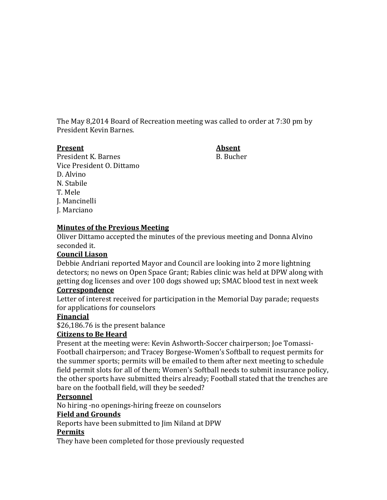The May 8,2014 Board of Recreation meeting was called to order at 7:30 pm by President Kevin Barnes.

#### **Present Absent**

President K. Barnes B. Bucher Vice President O. Dittamo D. Alvino N. Stabile T. Mele J. Mancinelli J. Marciano

# **Minutes of the Previous Meeting**

Oliver Dittamo accepted the minutes of the previous meeting and Donna Alvino seconded it.

### **Council Liason**

Debbie Andriani reported Mayor and Council are looking into 2 more lightning detectors; no news on Open Space Grant; Rabies clinic was held at DPW along with getting dog licenses and over 100 dogs showed up; SMAC blood test in next week

### **Correspondence**

Letter of interest received for participation in the Memorial Day parade; requests for applications for counselors

# **Financial**

\$26,186.76 is the present balance

### **Citizens to Be Heard**

Present at the meeting were: Kevin Ashworth-Soccer chairperson; Joe Tomassi-Football chairperson; and Tracey Borgese-Women's Softball to request permits for the summer sports; permits will be emailed to them after next meeting to schedule field permit slots for all of them; Women's Softball needs to submit insurance policy, the other sports have submitted theirs already; Football stated that the trenches are bare on the football field, will they be seeded?

# **Personnel**

No hiring -no openings-hiring freeze on counselors

# **Field and Grounds**

Reports have been submitted to Jim Niland at DPW

### **Permits**

They have been completed for those previously requested